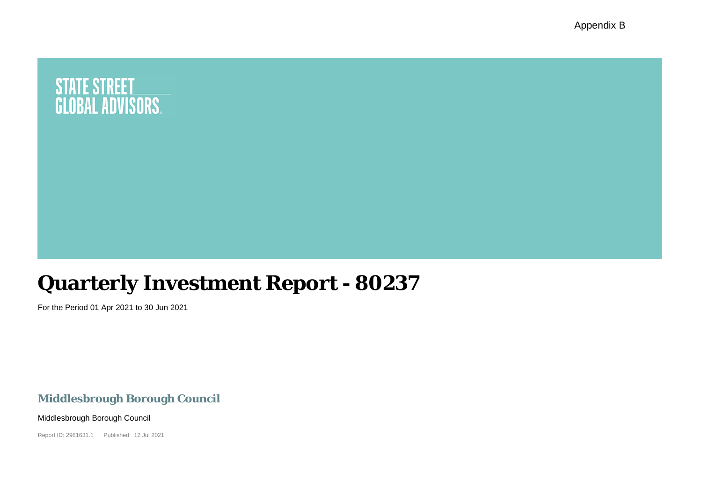Appendix B

# **STATE STREET<br>GLOBAL ADVISORS.**

## **Quarterly Investment Report - 80237**

For the Period 01 Apr 2021 to 30 Jun 2021

**Middlesbrough Borough Council**

Middlesbrough Borough Council

Report ID: 2981631.1 Published: 12 Jul 2021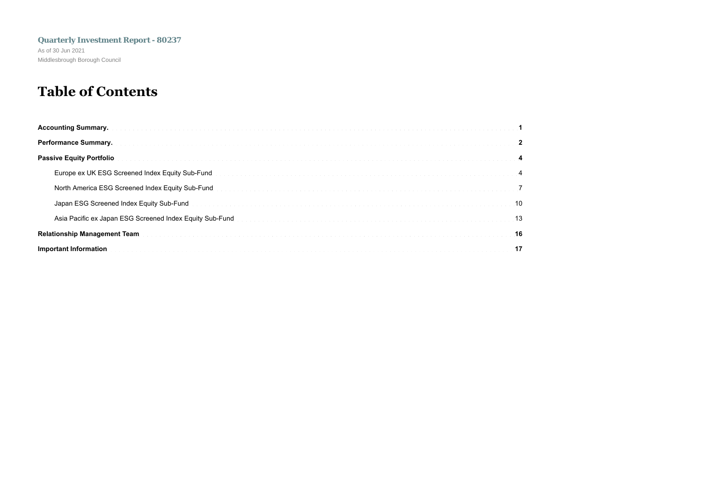## **Table of Contents**

| Passive Equity Portfolio (1999) (1999) (1999) (1999) (1999) (1999) (1999) (1999) (1999) (1999) (1999) (1999) (1999) (1999) (1999) (1999) (1999) (1999) (1999) (1999) (1999) (1999) (1999) (1999) (1999) (1999) (1999) (1999) (      |
|-------------------------------------------------------------------------------------------------------------------------------------------------------------------------------------------------------------------------------------|
| Europe ex UK ESG Screened Index Equity Sub-Fund Decrees and Construction of the construction of the construction of the construction of the construction of the construction of the construction of the construction of the co      |
| North America ESG Screened Index Equity Sub-Fund <b>Figure 2018</b> 2014 12:00 America 2014 2015 2016 2017 2018 2019 2019                                                                                                           |
| Japan ESG Screened Index Equity Sub-Fund process and contract the contract of the contract of the contract of the contract of the contract of the contract of the contract of the contract of the contract of the contract of       |
| 13. Asia Pacific ex Japan ESG Screened Index Equity Sub-Fund <b>Exerces Construction Construction Construction</b> and the Construction of the Construction of the Construction of the Construction of the Construction of the Cons |
|                                                                                                                                                                                                                                     |
| Important Information (1999) (1999) (1999) (1999) (1999) (1999) (1999) (1999) (1999) (1999) (1999) (1999) (1999) (1999) (1999) (1999) (1999) (1999) (1999) (1999) (1999) (1999) (1999) (1999) (1999) (1999) (1999) (1999) (199      |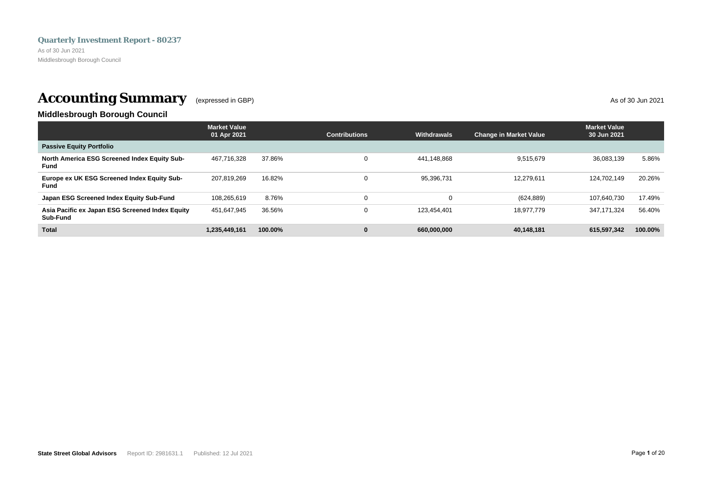<span id="page-2-0"></span>As of 30 Jun 2021 Middlesbrough Borough Council

## **Accounting Summary** (expressed in GBP) As of 30 Jun 2021

## **Middlesbrough Borough Council**

|                                                             | <b>Market Value</b><br>01 Apr 2021 |         | <b>Contributions</b> | <b>Withdrawals</b> | <b>Change in Market Value</b> | <b>Market Value</b><br>30 Jun 2021 |         |
|-------------------------------------------------------------|------------------------------------|---------|----------------------|--------------------|-------------------------------|------------------------------------|---------|
| <b>Passive Equity Portfolio</b>                             |                                    |         |                      |                    |                               |                                    |         |
| North America ESG Screened Index Equity Sub-<br>Fund        | 467.716.328                        | 37.86%  | $\Omega$             | 441.148.868        | 9.515.679                     | 36.083.139                         | 5.86%   |
| Europe ex UK ESG Screened Index Equity Sub-<br><b>Fund</b>  | 207.819.269                        | 16.82%  | $\Omega$             | 95,396,731         | 12.279.611                    | 124.702.149                        | 20.26%  |
| Japan ESG Screened Index Equity Sub-Fund                    | 108.265.619                        | 8.76%   | 0                    |                    | (624, 889)                    | 107.640.730                        | 17.49%  |
| Asia Pacific ex Japan ESG Screened Index Equity<br>Sub-Fund | 451,647,945                        | 36.56%  | 0                    | 123.454.401        | 18.977.779                    | 347.171.324                        | 56.40%  |
| <b>Total</b>                                                | 1.235.449.161                      | 100.00% | 0                    | 660,000,000        | 40.148.181                    | 615.597.342                        | 100.00% |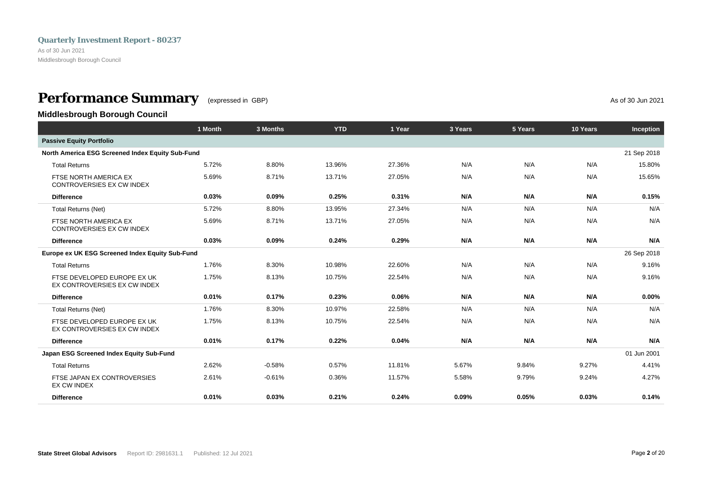<span id="page-3-0"></span>As of 30 Jun 2021 Middlesbrough Borough Council

## **Performance Summary** (expressed in GBP) **As of 30 Jun 2021**

**Middlesbrough Borough Council**

|                                                             | 1 Month | 3 Months | <b>YTD</b> | 1 Year | 3 Years | 5 Years | 10 Years | Inception   |
|-------------------------------------------------------------|---------|----------|------------|--------|---------|---------|----------|-------------|
| <b>Passive Equity Portfolio</b>                             |         |          |            |        |         |         |          |             |
| North America ESG Screened Index Equity Sub-Fund            |         |          |            |        |         |         |          | 21 Sep 2018 |
| <b>Total Returns</b>                                        | 5.72%   | 8.80%    | 13.96%     | 27.36% | N/A     | N/A     | N/A      | 15.80%      |
| FTSE NORTH AMERICA EX<br>CONTROVERSIES EX CW INDEX          | 5.69%   | 8.71%    | 13.71%     | 27.05% | N/A     | N/A     | N/A      | 15.65%      |
| <b>Difference</b>                                           | 0.03%   | 0.09%    | 0.25%      | 0.31%  | N/A     | N/A     | N/A      | 0.15%       |
| <b>Total Returns (Net)</b>                                  | 5.72%   | 8.80%    | 13.95%     | 27.34% | N/A     | N/A     | N/A      | N/A         |
| FTSE NORTH AMERICA EX<br>CONTROVERSIES EX CW INDEX          | 5.69%   | 8.71%    | 13.71%     | 27.05% | N/A     | N/A     | N/A      | N/A         |
| <b>Difference</b>                                           | 0.03%   | 0.09%    | 0.24%      | 0.29%  | N/A     | N/A     | N/A      | N/A         |
| Europe ex UK ESG Screened Index Equity Sub-Fund             |         |          |            |        |         |         |          | 26 Sep 2018 |
| <b>Total Returns</b>                                        | 1.76%   | 8.30%    | 10.98%     | 22.60% | N/A     | N/A     | N/A      | 9.16%       |
| FTSE DEVELOPED EUROPE EX UK<br>EX CONTROVERSIES EX CW INDEX | 1.75%   | 8.13%    | 10.75%     | 22.54% | N/A     | N/A     | N/A      | 9.16%       |
| <b>Difference</b>                                           | 0.01%   | 0.17%    | 0.23%      | 0.06%  | N/A     | N/A     | N/A      | $0.00\%$    |
| <b>Total Returns (Net)</b>                                  | 1.76%   | 8.30%    | 10.97%     | 22.58% | N/A     | N/A     | N/A      | N/A         |
| FTSE DEVELOPED EUROPE EX UK<br>EX CONTROVERSIES EX CW INDEX | 1.75%   | 8.13%    | 10.75%     | 22.54% | N/A     | N/A     | N/A      | N/A         |
| <b>Difference</b>                                           | 0.01%   | 0.17%    | 0.22%      | 0.04%  | N/A     | N/A     | N/A      | N/A         |
| Japan ESG Screened Index Equity Sub-Fund                    |         |          |            |        |         |         |          | 01 Jun 2001 |
| <b>Total Returns</b>                                        | 2.62%   | $-0.58%$ | 0.57%      | 11.81% | 5.67%   | 9.84%   | 9.27%    | 4.41%       |
| FTSE JAPAN EX CONTROVERSIES<br>EX CW INDEX                  | 2.61%   | $-0.61%$ | 0.36%      | 11.57% | 5.58%   | 9.79%   | 9.24%    | 4.27%       |
| <b>Difference</b>                                           | 0.01%   | 0.03%    | 0.21%      | 0.24%  | 0.09%   | 0.05%   | 0.03%    | 0.14%       |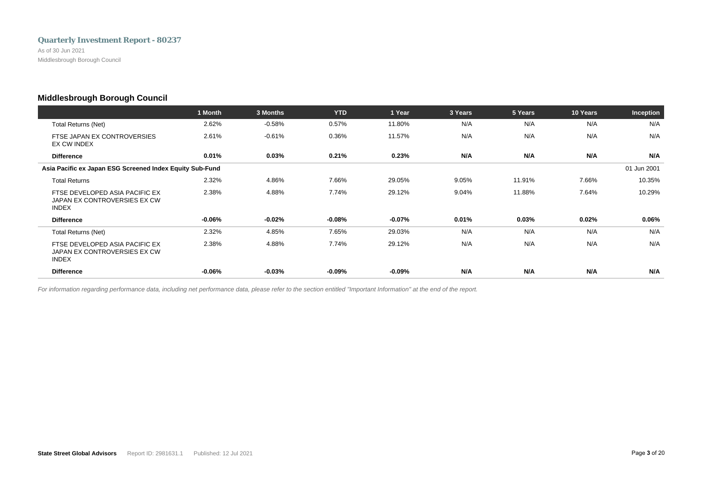As of 30 Jun 2021 Middlesbrough Borough Council

## **Middlesbrough Borough Council**

|                                                                                | 1 Month   | 3 Months  | <b>YTD</b> | 1 Year    | 3 Years | 5 Years | 10 Years | Inception   |
|--------------------------------------------------------------------------------|-----------|-----------|------------|-----------|---------|---------|----------|-------------|
| <b>Total Returns (Net)</b>                                                     | 2.62%     | $-0.58%$  | 0.57%      | 11.80%    | N/A     | N/A     | N/A      | N/A         |
| FTSE JAPAN EX CONTROVERSIES<br>EX CW INDEX                                     | 2.61%     | $-0.61%$  | 0.36%      | 11.57%    | N/A     | N/A     | N/A      | N/A         |
| <b>Difference</b>                                                              | 0.01%     | 0.03%     | 0.21%      | 0.23%     | N/A     | N/A     | N/A      | N/A         |
| Asia Pacific ex Japan ESG Screened Index Equity Sub-Fund                       |           |           |            |           |         |         |          | 01 Jun 2001 |
| <b>Total Returns</b>                                                           | 2.32%     | 4.86%     | 7.66%      | 29.05%    | 9.05%   | 11.91%  | 7.66%    | 10.35%      |
| FTSE DEVELOPED ASIA PACIFIC EX<br>JAPAN EX CONTROVERSIES EX CW<br><b>INDEX</b> | 2.38%     | 4.88%     | 7.74%      | 29.12%    | 9.04%   | 11.88%  | 7.64%    | 10.29%      |
| <b>Difference</b>                                                              | $-0.06\%$ | $-0.02\%$ | $-0.08\%$  | $-0.07\%$ | 0.01%   | 0.03%   | $0.02\%$ | 0.06%       |
| Total Returns (Net)                                                            | 2.32%     | 4.85%     | 7.65%      | 29.03%    | N/A     | N/A     | N/A      | N/A         |
| FTSE DEVELOPED ASIA PACIFIC EX<br>JAPAN EX CONTROVERSIES EX CW<br><b>INDEX</b> | 2.38%     | 4.88%     | 7.74%      | 29.12%    | N/A     | N/A     | N/A      | N/A         |
| <b>Difference</b>                                                              | $-0.06\%$ | $-0.03%$  | $-0.09\%$  | $-0.09\%$ | N/A     | N/A     | N/A      | N/A         |

*For information regarding performance data, including net performance data, please refer to the section entitled "Important Information" at the end of the report.*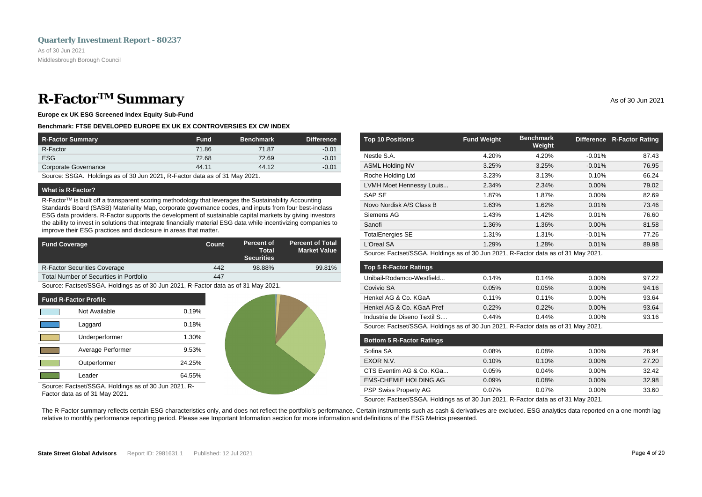## <span id="page-5-0"></span>**R-Factor<sup>TM</sup> Summary** As of 30 Jun 2021

**Europe ex UK ESG Screened Index Equity Sub-Fund**

### **Benchmark: FTSE DEVELOPED EUROPE EX UK EX CONTROVERSIES EX CW INDEX**

| <b>R-Factor Summary</b> | <b>Fund</b> | <b>Benchmark</b> | <b>Difference</b> |
|-------------------------|-------------|------------------|-------------------|
| R-Factor                | 71.86       | 71.87            | $-0.01$           |
| <b>ESG</b>              | 72.68       | 72.69            | $-0.01$           |
| Corporate Governance    | 44.11       | 44.12            | $-0.01$           |

Source: SSGA. Holdings as of 30 Jun 2021, R-Factor data as of 31 May 2021.

### **What is R-Factor?**

R-Factor™ is built off a transparent scoring methodology that leverages the Sustainability Accounting Standards Board (SASB) Materiality Map, corporate governance codes, and inputs from four best-inclass ESG data providers. R-Factor supports the development of sustainable capital markets by giving investors the ability to invest in solutions that integrate financially material ESG data while incentivizing companies to improve their ESG practices and disclosure in areas that matter.

| <b>Fund Coverage</b>                    | Count | Percent of<br>Total<br><b>Securities</b> | <b>Percent of Total</b><br><b>Market Value</b> |
|-----------------------------------------|-------|------------------------------------------|------------------------------------------------|
| <b>R-Factor Securities Coverage</b>     | 442   | 98.88%                                   | 99.81%                                         |
| Total Number of Securities in Portfolio | 447   |                                          |                                                |

Source: Factset/SSGA. Holdings as of 30 Jun 2021, R-Factor data as of 31 May 2021.

| <b>Fund R-Factor Profile</b> |                   |        |  |  |
|------------------------------|-------------------|--------|--|--|
|                              | Not Available     | 0.19%  |  |  |
|                              | Laggard           | 0.18%  |  |  |
|                              | Underperformer    | 1.30%  |  |  |
|                              | Average Performer | 9.53%  |  |  |
|                              | Outperformer      | 24.25% |  |  |
|                              | Leader            | 64.55% |  |  |



Source: Factset/SSGA. Holdings as of 30 Jun 2021, R-Factor data as of 31 May 2021.

| <b>Top 10 Positions</b>  | <b>Fund Weight</b> | <b>Benchmark</b><br>Weight |          | Difference R-Factor Rating |
|--------------------------|--------------------|----------------------------|----------|----------------------------|
| Nestle S.A.              | 4.20%              | 4.20%                      | $-0.01%$ | 87.43                      |
| <b>ASML Holding NV</b>   | 3.25%              | 3.25%                      | $-0.01%$ | 76.95                      |
| Roche Holding Ltd        | 3.23%              | 3.13%                      | 0.10%    | 66.24                      |
| LVMH Moet Hennessy Louis | 2.34%              | 2.34%                      | $0.00\%$ | 79.02                      |
| <b>SAP SE</b>            | 1.87%              | 1.87%                      | $0.00\%$ | 82.69                      |
| Novo Nordisk A/S Class B | 1.63%              | 1.62%                      | 0.01%    | 73.46                      |
| Siemens AG               | 1.43%              | 1.42%                      | 0.01%    | 76.60                      |
| Sanofi                   | 1.36%              | 1.36%                      | 0.00%    | 81.58                      |
| <b>TotalEnergies SE</b>  | 1.31%              | 1.31%                      | $-0.01%$ | 77.26                      |
| L'Oreal SA               | 1.29%              | 1.28%                      | 0.01%    | 89.98                      |

Source: Factset/SSGA. Holdings as of 30 Jun 2021, R-Factor data as of 31 May 2021.

| <b>Top 5 R-Factor Ratings</b> |                                       |          |          |       |
|-------------------------------|---------------------------------------|----------|----------|-------|
| Unibail-Rodamco-Westfield     | 0.14%                                 | 0.14%    | $0.00\%$ | 97.22 |
| Covivio SA                    | 0.05%                                 | 0.05%    | $0.00\%$ | 94.16 |
| Henkel AG & Co. KGaA          | 0.11%                                 | $0.11\%$ | $0.00\%$ | 93.64 |
| Henkel AG & Co. KGaA Pref     | 0.22%                                 | 0.22%    | $0.00\%$ | 93.64 |
| Industria de Diseno Textil S  | 0.44%                                 | 0.44%    | $0.00\%$ | 93.16 |
| _ _ _ _ _ _ _ _ _ _ _ _ _ _   | $\sim$ $\sim$ $\sim$ $\sim$<br>$   -$ |          | ----     |       |

Source: Factset/SSGA. Holdings as of 30 Jun 2021, R-Factor data as of 31 May 2021.

| <b>Bottom 5 R-Factor Ratings</b> |       |       |          |       |
|----------------------------------|-------|-------|----------|-------|
| Sofina SA                        | 0.08% | 0.08% | $0.00\%$ | 26.94 |
| EXOR N.V.                        | 0.10% | 0.10% | $0.00\%$ | 27.20 |
| CTS Eventim AG & Co. KGa         | 0.05% | 0.04% | $0.00\%$ | 32.42 |
| <b>EMS-CHEMIE HOLDING AG</b>     | 0.09% | 0.08% | $0.00\%$ | 32.98 |
| <b>PSP Swiss Property AG</b>     | 0.07% | 0.07% | $0.00\%$ | 33.60 |

Source: Factset/SSGA. Holdings as of 30 Jun 2021, R-Factor data as of 31 May 2021.

The R-Factor summary reflects certain ESG characteristics only, and does not reflect the portfolio's performance. Certain instruments such as cash & derivatives are excluded. ESG analytics data reported on a one month lag relative to monthly performance reporting period. Please see Important Information section for more information and definitions of the ESG Metrics presented.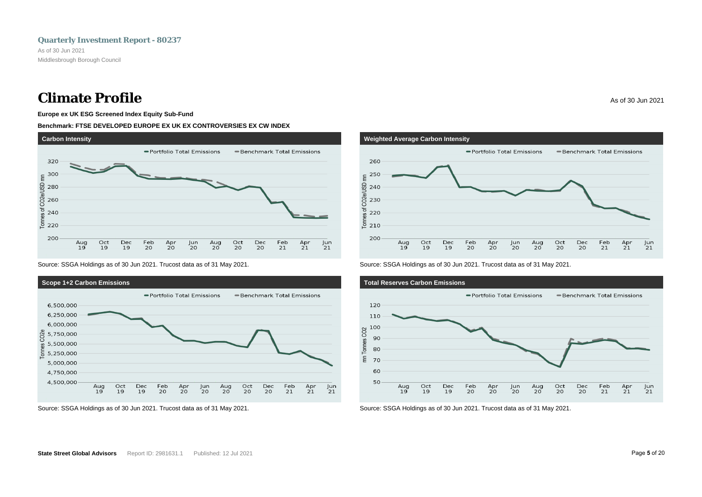## **Climate Profile** As of 30 Jun 2021

### **Europe ex UK ESG Screened Index Equity Sub-Fund**

### **Benchmark: FTSE DEVELOPED EUROPE EX UK EX CONTROVERSIES EX CW INDEX**



Source: SSGA Holdings as of 30 Jun 2021. Trucost data as of 31 May 2021.



Source: SSGA Holdings as of 30 Jun 2021. Trucost data as of 31 May 2021.



Source: SSGA Holdings as of 30 Jun 2021. Trucost data as of 31 May 2021.



Source: SSGA Holdings as of 30 Jun 2021. Trucost data as of 31 May 2021.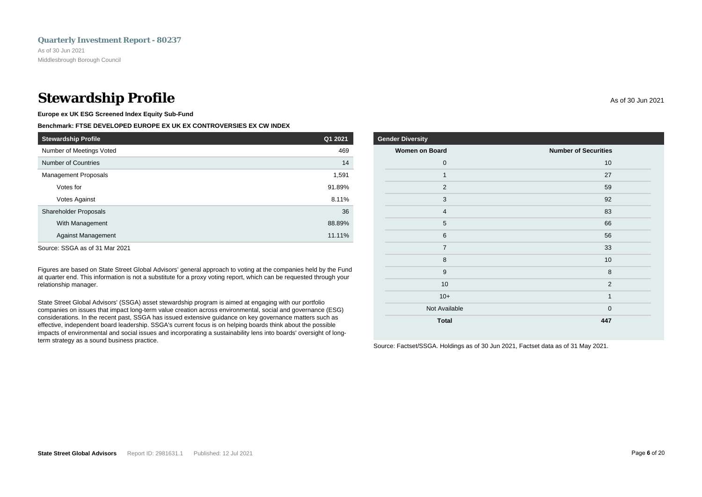## **Stewardship Profile** As of 30 Jun 2021

**Europe ex UK ESG Screened Index Equity Sub-Fund**

## **Benchmark: FTSE DEVELOPED EUROPE EX UK EX CONTROVERSIES EX CW INDEX**

| <b>Stewardship Profile</b>   | Q1 2021 |
|------------------------------|---------|
| Number of Meetings Voted     | 469     |
| Number of Countries          | 14      |
| <b>Management Proposals</b>  | 1,591   |
| Votes for                    | 91.89%  |
| <b>Votes Against</b>         | 8.11%   |
| <b>Shareholder Proposals</b> | 36      |
| With Management              | 88.89%  |
| <b>Against Management</b>    | 11.11%  |

Source: SSGA as of 31 Mar 2021

Figures are based on State Street Global Advisors' general approach to voting at the companies held by the Fund at quarter end. This information is not a substitute for a proxy voting report, which can be requested through your relationship manager.

State Street Global Advisors' (SSGA) asset stewardship program is aimed at engaging with our portfolio companies on issues that impact long-term value creation across environmental, social and governance (ESG) considerations. In the recent past, SSGA has issued extensive guidance on key governance matters such as effective, independent board leadership. SSGA's current focus is on helping boards think about the possible impacts of environmental and social issues and incorporating a sustainability lens into boards' oversight of longterm strategy as a sound business practice.

| der Diversity         |                             |
|-----------------------|-----------------------------|
| <b>Women on Board</b> | <b>Number of Securities</b> |
| $\mathbf 0$           | 10                          |
| $\mathbf{1}$          | 27                          |
| 2                     | 59                          |
| 3                     | 92                          |
| $\overline{4}$        | 83                          |
| 5                     | 66                          |
| 6                     | 56                          |
| $\overline{7}$        | 33                          |
| 8                     | 10                          |
| 9                     | 8                           |
| 10                    | $\overline{2}$              |

 $10+$  1 Not Available 0 **Total 447**

Source: Factset/SSGA. Holdings as of 30 Jun 2021, Factset data as of 31 May 2021.

**Gen**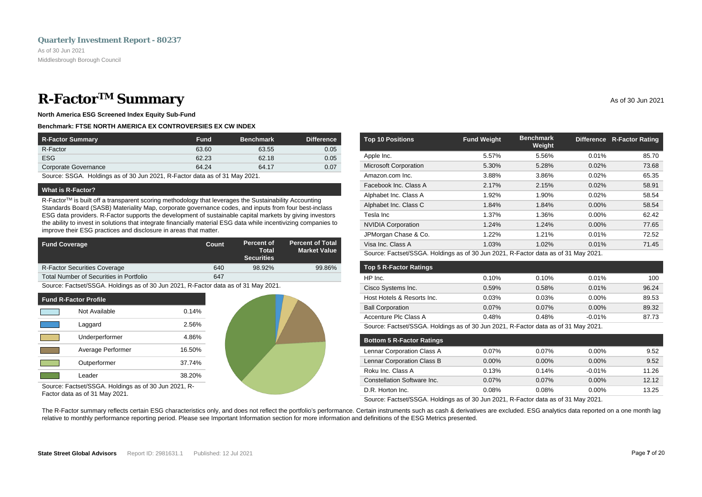## <span id="page-8-0"></span>**R-Factor<sup>TM</sup> Summary** As of 30 Jun 2021

**North America ESG Screened Index Equity Sub-Fund**

### **Benchmark: FTSE NORTH AMERICA EX CONTROVERSIES EX CW INDEX**

| <b>R-Factor Summary</b> | <b>Fund</b> | <b>Benchmark</b> | <b>Difference</b> |
|-------------------------|-------------|------------------|-------------------|
| R-Factor                | 63.60       | 63.55            | 0.05              |
| <b>ESG</b>              | 62.23       | 62.18            | 0.05              |
| Corporate Governance    | 64.24       | 64.17            | 0.07              |

Source: SSGA. Holdings as of 30 Jun 2021, R-Factor data as of 31 May 2021.

### **What is R-Factor?**

R-Factor<sup>TM</sup> is built off a transparent scoring methodology that leverages the Sustainability Accounting Standards Board (SASB) Materiality Map, corporate governance codes, and inputs from four best-inclass ESG data providers. R-Factor supports the development of sustainable capital markets by giving investors the ability to invest in solutions that integrate financially material ESG data while incentivizing companies to improve their ESG practices and disclosure in areas that matter.

| <b>Fund Coverage</b>                    | Count | Percent of<br>Total<br><b>Securities</b> | <b>Percent of Total</b><br><b>Market Value</b> |
|-----------------------------------------|-------|------------------------------------------|------------------------------------------------|
| <b>R-Factor Securities Coverage</b>     | 640   | 98.92%                                   | 99.86%                                         |
| Total Number of Securities in Portfolio | 647   |                                          |                                                |

Source: Factset/SSGA. Holdings as of 30 Jun 2021, R-Factor data as of 31 May 2021.

| <b>Fund R-Factor Profile</b> |                   |        |
|------------------------------|-------------------|--------|
|                              | Not Available     | 0.14%  |
|                              | Laggard           | 2.56%  |
|                              | Underperformer    | 4.86%  |
|                              | Average Performer | 16.50% |
|                              | Outperformer      | 37.74% |
|                              | Leader            | 38.20% |

Source: Factset/SSGA. Holdings as of 30 Jun 2021, R-Factor data as of 31 May 2021.

| <b>Top 10 Positions</b>      | <b>Fund Weight</b> | <b>Benchmark</b><br>Weight | Difference | <b>R-Factor Rating</b> |
|------------------------------|--------------------|----------------------------|------------|------------------------|
| Apple Inc.                   | 5.57%              | 5.56%                      | 0.01%      | 85.70                  |
| <b>Microsoft Corporation</b> | 5.30%              | 5.28%                      | 0.02%      | 73.68                  |
| Amazon.com Inc.              | 3.88%              | 3.86%                      | 0.02%      | 65.35                  |
| Facebook Inc. Class A        | 2.17%              | 2.15%                      | 0.02%      | 58.91                  |
| Alphabet Inc. Class A        | 1.92%              | 1.90%                      | 0.02%      | 58.54                  |
| Alphabet Inc. Class C        | 1.84%              | 1.84%                      | $0.00\%$   | 58.54                  |
| Tesla Inc                    | 1.37%              | 1.36%                      | $0.00\%$   | 62.42                  |
| <b>NVIDIA Corporation</b>    | 1.24%              | 1.24%                      | 0.00%      | 77.65                  |
| JPMorgan Chase & Co.         | 1.22%              | 1.21%                      | 0.01%      | 72.52                  |
| Visa Inc. Class A            | 1.03%              | 1.02%                      | 0.01%      | 71.45                  |

Source: Factset/SSGA. Holdings as of 30 Jun 2021, R-Factor data as of 31 May 2021.

| <b>Top 5 R-Factor Ratings</b> |            |            |          |       |
|-------------------------------|------------|------------|----------|-------|
| HP Inc.                       | 0.10%      | 0.10%      | 0.01%    | 100   |
| Cisco Systems Inc.            | 0.59%      | 0.58%      | 0.01%    | 96.24 |
| Host Hotels & Resorts Inc.    | 0.03%      | 0.03%      | $0.00\%$ | 89.53 |
| <b>Ball Corporation</b>       | 0.07%      | $0.07\%$   | $0.00\%$ | 89.32 |
| Accenture Plc Class A         | 0.48%      | 0.48%      | $-0.01%$ | 87.73 |
| _ _ _ _ _ _ _ _ _ _ _ _ _     | .<br>----- | _ _ _<br>. | ----     |       |

Source: Factset/SSGA. Holdings as of 30 Jun 2021, R-Factor data as of 31 May 2021.

| <b>Bottom 5 R-Factor Ratings</b> |          |          |          |       |
|----------------------------------|----------|----------|----------|-------|
| Lennar Corporation Class A       | 0.07%    | $0.07\%$ | $0.00\%$ | 9.52  |
| Lennar Corporation Class B       | $0.00\%$ | $0.00\%$ | $0.00\%$ | 9.52  |
| Roku Inc. Class A                | 0.13%    | 0.14%    | $-0.01%$ | 11.26 |
| Constellation Software Inc.      | 0.07%    | $0.07\%$ | $0.00\%$ | 12.12 |
| D.R. Horton Inc.                 | 0.08%    | 0.08%    | $0.00\%$ | 13.25 |

Source: Factset/SSGA. Holdings as of 30 Jun 2021, R-Factor data as of 31 May 2021.

The R-Factor summary reflects certain ESG characteristics only, and does not reflect the portfolio's performance. Certain instruments such as cash & derivatives are excluded. ESG analytics data reported on a one month lag relative to monthly performance reporting period. Please see Important Information section for more information and definitions of the ESG Metrics presented.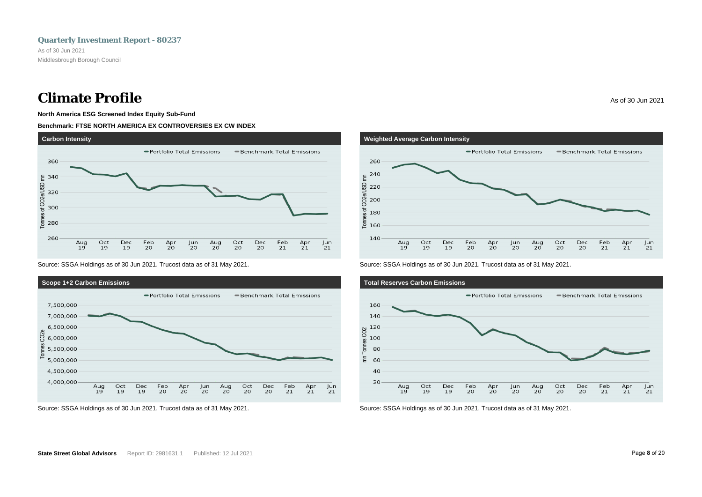## **Climate Profile** As of 30 Jun 2021

### **North America ESG Screened Index Equity Sub-Fund**

### **Benchmark: FTSE NORTH AMERICA EX CONTROVERSIES EX CW INDEX**



Source: SSGA Holdings as of 30 Jun 2021. Trucost data as of 31 May 2021.







Source: SSGA Holdings as of 30 Jun 2021. Trucost data as of 31 May 2021.



Source: SSGA Holdings as of 30 Jun 2021. Trucost data as of 31 May 2021.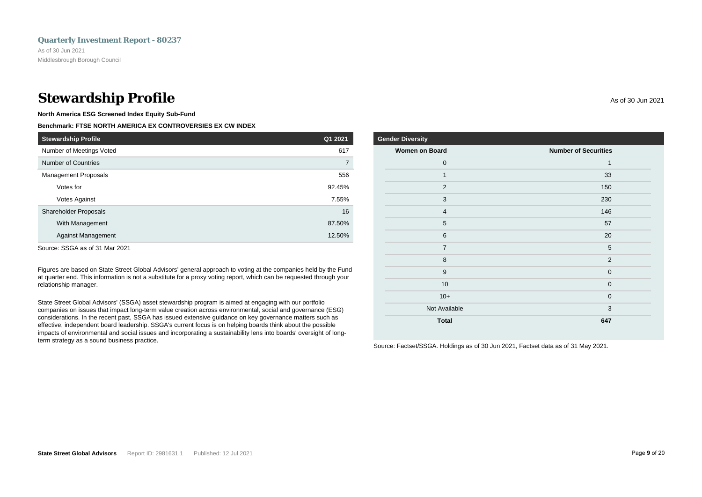## **Stewardship Profile** As of 30 Jun 2021

**North America ESG Screened Index Equity Sub-Fund**

## **Benchmark: FTSE NORTH AMERICA EX CONTROVERSIES EX CW INDEX**

| <b>Stewardship Profile</b>  | Q1 2021 |
|-----------------------------|---------|
| Number of Meetings Voted    | 617     |
| <b>Number of Countries</b>  | 7       |
| <b>Management Proposals</b> | 556     |
| Votes for                   | 92.45%  |
| <b>Votes Against</b>        | 7.55%   |
| Shareholder Proposals       | 16      |
| With Management             | 87.50%  |
| <b>Against Management</b>   | 12.50%  |

Source: SSGA as of 31 Mar 2021

Figures are based on State Street Global Advisors' general approach to voting at the companies held by the Fund at quarter end. This information is not a substitute for a proxy voting report, which can be requested through your relationship manager.

State Street Global Advisors' (SSGA) asset stewardship program is aimed at engaging with our portfolio companies on issues that impact long-term value creation across environmental, social and governance (ESG) considerations. In the recent past, SSGA has issued extensive guidance on key governance matters such as effective, independent board leadership. SSGA's current focus is on helping boards think about the possible impacts of environmental and social issues and incorporating a sustainability lens into boards' oversight of longterm strategy as a sound business practice.

| <b>Gender Diversity</b> |                             |
|-------------------------|-----------------------------|
| <b>Women on Board</b>   | <b>Number of Securities</b> |
| $\mathbf 0$             | 1                           |
| $\mathbf{1}$            | 33                          |
| 2                       | 150                         |
| 3                       | 230                         |
| $\overline{4}$          | 146                         |
| 5                       | 57                          |
| 6                       | 20                          |
| $\overline{7}$          | 5                           |
| 8                       | $\overline{2}$              |
| 9                       | $\mathbf{0}$                |
| 10                      | $\mathbf 0$                 |
| $10+$                   | $\mathbf{0}$                |

Not Available 3 **Total 647**

Source: Factset/SSGA. Holdings as of 30 Jun 2021, Factset data as of 31 May 2021.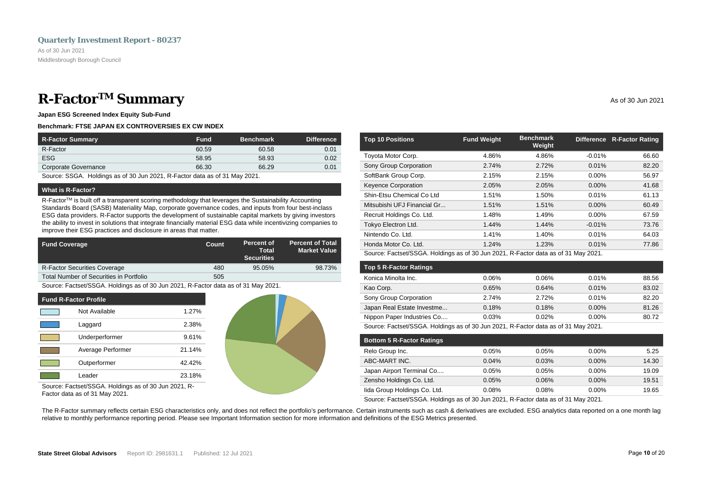## <span id="page-11-0"></span>**R-Factor<sup>TM</sup> Summary** As of 30 Jun 2021

**Japan ESG Screened Index Equity Sub-Fund**

### **Benchmark: FTSE JAPAN EX CONTROVERSIES EX CW INDEX**

| <b>R-Factor Summary</b> | <b>Fund</b> | <b>Benchmark</b> | <b>Difference</b> |
|-------------------------|-------------|------------------|-------------------|
| R-Factor                | 60.59       | 60.58            | 0.01              |
| <b>ESG</b>              | 58.95       | 58.93            | 0.02              |
| Corporate Governance    | 66.30       | 66.29            | 0.01              |

Source: SSGA. Holdings as of 30 Jun 2021, R-Factor data as of 31 May 2021.

### **What is R-Factor?**

R-Factor™ is built off a transparent scoring methodology that leverages the Sustainability Accounting Standards Board (SASB) Materiality Map, corporate governance codes, and inputs from four best-inclass ESG data providers. R-Factor supports the development of sustainable capital markets by giving investors the ability to invest in solutions that integrate financially material ESG data while incentivizing companies to improve their ESG practices and disclosure in areas that matter.

| <b>Fund Coverage</b>                    | Count | Percent of<br>Total<br><b>Securities</b> | <b>Percent of Total</b><br><b>Market Value</b> |
|-----------------------------------------|-------|------------------------------------------|------------------------------------------------|
| <b>R-Factor Securities Coverage</b>     | 480   | 95.05%                                   | 98.73%                                         |
| Total Number of Securities in Portfolio | 505   |                                          |                                                |

Source: Factset/SSGA. Holdings as of 30 Jun 2021, R-Factor data as of 31 May 2021.

| <b>Fund R-Factor Profile</b> |                   |           |
|------------------------------|-------------------|-----------|
|                              | Not Available     | 1.27%     |
|                              | Laggard           | 2.38%     |
|                              | Underperformer    | 9.61%     |
|                              | Average Performer | 21.14%    |
|                              | Outperformer      | $42.42\%$ |
|                              | Leader            | 23.18%    |



Source: Factset/SSGA. Holdings as of 30 Jun 2021, R-Factor data as of 31 May 2021.

| <b>Top 10 Positions</b>     | <b>Fund Weight</b> | <b>Benchmark</b><br>Weight |          | Difference R-Factor Rating |
|-----------------------------|--------------------|----------------------------|----------|----------------------------|
| Toyota Motor Corp.          | 4.86%              | 4.86%                      | $-0.01%$ | 66.60                      |
| Sony Group Corporation      | 2.74%              | 2.72%                      | 0.01%    | 82.20                      |
| SoftBank Group Corp.        | 2.15%              | 2.15%                      | $0.00\%$ | 56.97                      |
| <b>Keyence Corporation</b>  | 2.05%              | 2.05%                      | $0.00\%$ | 41.68                      |
| Shin-Etsu Chemical Co Ltd   | 1.51%              | 1.50%                      | 0.01%    | 61.13                      |
| Mitsubishi UFJ Financial Gr | 1.51%              | 1.51%                      | $0.00\%$ | 60.49                      |
| Recruit Holdings Co. Ltd.   | 1.48%              | 1.49%                      | $0.00\%$ | 67.59                      |
| Tokyo Electron Ltd.         | 1.44%              | 1.44%                      | $-0.01%$ | 73.76                      |
| Nintendo Co. Ltd.           | 1.41%              | 1.40%                      | 0.01%    | 64.03                      |
| Honda Motor Co. Ltd.        | 1.24%              | 1.23%                      | 0.01%    | 77.86                      |

Source: Factset/SSGA. Holdings as of 30 Jun 2021, R-Factor data as of 31 May 2021.

| <b>Top 5 R-Factor Ratings</b> |       |       |          |       |
|-------------------------------|-------|-------|----------|-------|
| Konica Minolta Inc.           | 0.06% | 0.06% | 0.01%    | 88.56 |
| Kao Corp.                     | 0.65% | 0.64% | 0.01%    | 83.02 |
| Sony Group Corporation        | 2.74% | 2.72% | 0.01%    | 82.20 |
| Japan Real Estate Investme    | 0.18% | 0.18% | $0.00\%$ | 81.26 |
| Nippon Paper Industries Co    | 0.03% | 0.02% | $0.00\%$ | 80.72 |
|                               |       |       |          |       |

Source: Factset/SSGA. Holdings as of 30 Jun 2021, R-Factor data as of 31 May 2021.

| <b>Bottom 5 R-Factor Ratings</b> |       |       |          |       |
|----------------------------------|-------|-------|----------|-------|
| Relo Group Inc.                  | 0.05% | 0.05% | $0.00\%$ | 5.25  |
| ABC-MART INC.                    | 0.04% | 0.03% | $0.00\%$ | 14.30 |
| Japan Airport Terminal Co        | 0.05% | 0.05% | $0.00\%$ | 19.09 |
| Zensho Holdings Co. Ltd.         | 0.05% | 0.06% | $0.00\%$ | 19.51 |
| lida Group Holdings Co. Ltd.     | 0.08% | 0.08% | $0.00\%$ | 19.65 |

Source: Factset/SSGA. Holdings as of 30 Jun 2021, R-Factor data as of 31 May 2021.

The R-Factor summary reflects certain ESG characteristics only, and does not reflect the portfolio's performance. Certain instruments such as cash & derivatives are excluded. ESG analytics data reported on a one month lag relative to monthly performance reporting period. Please see Important Information section for more information and definitions of the ESG Metrics presented.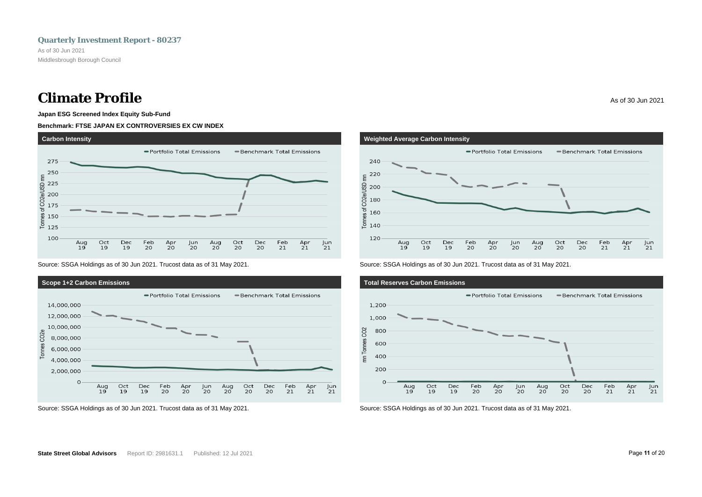## **Climate Profile** As of 30 Jun 2021

### **Japan ESG Screened Index Equity Sub-Fund**

### **Benchmark: FTSE JAPAN EX CONTROVERSIES EX CW INDEX**



Source: SSGA Holdings as of 30 Jun 2021. Trucost data as of 31 May 2021.





# **Weighted Average Carbon Intensity** - Portfolio Total Emissions - Benchmark Total Emissions



Source: SSGA Holdings as of 30 Jun 2021. Trucost data as of 31 May 2021.

**240** 

<u> 통</u> 140



Source: SSGA Holdings as of 30 Jun 2021. Trucost data as of 31 May 2021.

 $\frac{$  \text{Jun}}{21}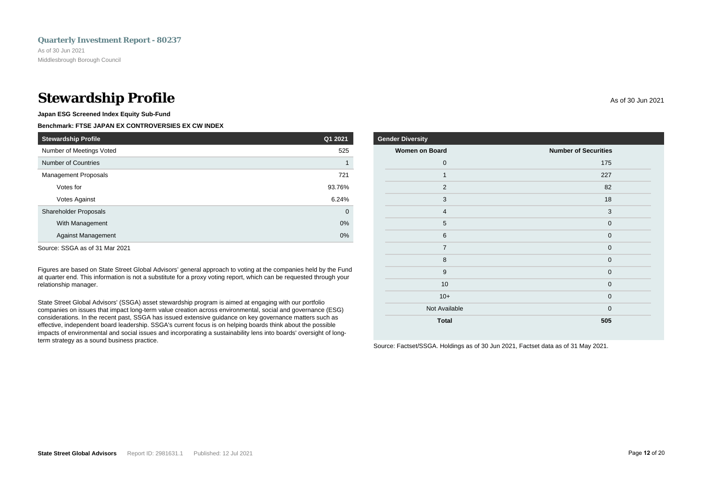## **Stewardship Profile** As of 30 Jun 2021

**Japan ESG Screened Index Equity Sub-Fund**

## **Benchmark: FTSE JAPAN EX CONTROVERSIES EX CW INDEX**

| <b>Stewardship Profile</b>  | Q1 2021     |
|-----------------------------|-------------|
| Number of Meetings Voted    | 525         |
| <b>Number of Countries</b>  |             |
| <b>Management Proposals</b> | 721         |
| Votes for                   | 93.76%      |
| <b>Votes Against</b>        | 6.24%       |
| Shareholder Proposals       | $\mathbf 0$ |
| With Management             | 0%          |
| <b>Against Management</b>   | 0%          |
|                             |             |

Source: SSGA as of 31 Mar 2021

Figures are based on State Street Global Advisors' general approach to voting at the companies held by the Fund at quarter end. This information is not a substitute for a proxy voting report, which can be requested through your relationship manager.

State Street Global Advisors' (SSGA) asset stewardship program is aimed at engaging with our portfolio companies on issues that impact long-term value creation across environmental, social and governance (ESG) considerations. In the recent past, SSGA has issued extensive guidance on key governance matters such as effective, independent board leadership. SSGA's current focus is on helping boards think about the possible impacts of environmental and social issues and incorporating a sustainability lens into boards' oversight of longterm strategy as a sound business practice.

| <b>Gender Diversity</b> |                             |
|-------------------------|-----------------------------|
| <b>Women on Board</b>   | <b>Number of Securities</b> |
| $\mathbf 0$             | 175                         |
| 1                       | 227                         |
| $\overline{2}$          | 82                          |
| 3                       | 18                          |
| $\overline{4}$          | 3                           |
| 5                       | $\mathbf 0$                 |
| $6\phantom{1}$          | $\mathbf 0$                 |
| $\overline{7}$          | $\mathbf 0$                 |
| 8                       | $\mathbf 0$                 |
| 9                       | $\mathbf 0$                 |
| 10                      | $\mathbf 0$                 |
| $10+$                   | $\mathbf 0$                 |
| Not Available           | $\mathbf 0$                 |
| <b>Total</b>            | 505                         |

Source: Factset/SSGA. Holdings as of 30 Jun 2021, Factset data as of 31 May 2021.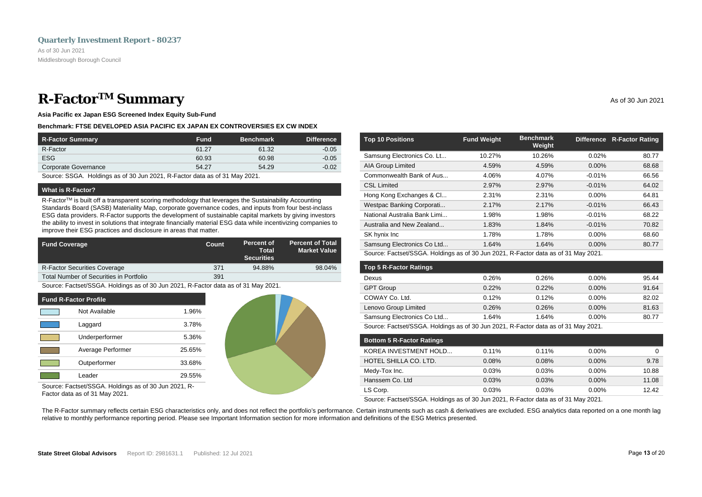## <span id="page-14-0"></span>**R**-Factor<sup>TM</sup> Summary As of 30 Jun 2021

**Asia Pacific ex Japan ESG Screened Index Equity Sub-Fund**

### **Benchmark: FTSE DEVELOPED ASIA PACIFIC EX JAPAN EX CONTROVERSIES EX CW INDEX**

| R-Factor Summary     | <b>Fund</b> | <b>Benchmark</b> | <b>Difference</b> |
|----------------------|-------------|------------------|-------------------|
| R-Factor             | 61.27       | 61.32            | $-0.05$           |
| <b>ESG</b>           | 60.93       | 60.98            | $-0.05$           |
| Corporate Governance | 54.27       | 54.29            | $-0.02$           |

Source: SSGA. Holdings as of 30 Jun 2021, R-Factor data as of 31 May 2021.

### **What is R-Factor?**

R-Factor<sup>TM</sup> is built off a transparent scoring methodology that leverages the Sustainability Accounting Standards Board (SASB) Materiality Map, corporate governance codes, and inputs from four best-inclass ESG data providers. R-Factor supports the development of sustainable capital markets by giving investors the ability to invest in solutions that integrate financially material ESG data while incentivizing companies to improve their ESG practices and disclosure in areas that matter.

| <b>Fund Coverage</b>                    | Count | Percent of<br>Total<br><b>Securities</b> | <b>Percent of Total</b><br><b>Market Value</b> |
|-----------------------------------------|-------|------------------------------------------|------------------------------------------------|
| <b>R-Factor Securities Coverage</b>     | 371   | 94.88%                                   | 98.04%                                         |
| Total Number of Securities in Portfolio | 391   |                                          |                                                |

Source: Factset/SSGA. Holdings as of 30 Jun 2021, R-Factor data as of 31 May 2021.

| <b>Fund R-Factor Profile</b> |                   |        |  |
|------------------------------|-------------------|--------|--|
|                              | Not Available     | 1.96%  |  |
|                              | Laggard           | 3.78%  |  |
|                              | Underperformer    | 5.36%  |  |
|                              | Average Performer | 25.65% |  |
|                              | Outperformer      | 33.68% |  |
|                              | I eader           | 29.55% |  |



Source: Factset/SSGA. Holdings as of 30 Jun 2021, R-Factor data as of 31 May 2021.

| <b>Fund Weight</b> | <b>Benchmark</b><br>Weight |          | Difference R-Factor Rating |
|--------------------|----------------------------|----------|----------------------------|
| 10.27%             | 10.26%                     | 0.02%    | 80.77                      |
| 4.59%              | 4.59%                      | $0.00\%$ | 68.68                      |
| 4.06%              | 4.07%                      | $-0.01%$ | 66.56                      |
| 2.97%              | 2.97%                      | $-0.01%$ | 64.02                      |
| 2.31%              | 2.31%                      | $0.00\%$ | 64.81                      |
| 2.17%              | 2.17%                      | $-0.01%$ | 66.43                      |
| 1.98%              | 1.98%                      | $-0.01%$ | 68.22                      |
| 1.83%              | 1.84%                      | $-0.01%$ | 70.82                      |
| 1.78%              | 1.78%                      | $0.00\%$ | 68.60                      |
| 1.64%              | 1.64%                      | $0.00\%$ | 80.77                      |
|                    |                            |          |                            |

Source: Factset/SSGA. Holdings as of 30 Jun 2021, R-Factor data as of 31 May 2021.

| <b>Top 5 R-Factor Ratings</b> |       |       |          |       |
|-------------------------------|-------|-------|----------|-------|
| Dexus                         | 0.26% | 0.26% | $0.00\%$ | 95.44 |
| <b>GPT Group</b>              | 0.22% | 0.22% | $0.00\%$ | 91.64 |
| COWAY Co. Ltd.                | 0.12% | 0.12% | 0.00%    | 82.02 |
| Lenovo Group Limited          | 0.26% | 0.26% | $0.00\%$ | 81.63 |
| Samsung Electronics Co Ltd    | 1.64% | 1.64% | $0.00\%$ | 80.77 |
|                               |       |       |          |       |

Source: Factset/SSGA. Holdings as of 30 Jun 2021, R-Factor data as of 31 May 2021.

| <b>Bottom 5 R-Factor Ratings</b> |       |          |          |       |
|----------------------------------|-------|----------|----------|-------|
| KOREA INVESTMENT HOLD            | 0.11% | $0.11\%$ | $0.00\%$ | 0     |
| HOTEL SHILLA CO. LTD.            | 0.08% | 0.08%    | $0.00\%$ | 9.78  |
| Medy-Tox Inc.                    | 0.03% | 0.03%    | $0.00\%$ | 10.88 |
| Hanssem Co. Ltd                  | 0.03% | 0.03%    | $0.00\%$ | 11.08 |
| LS Corp.                         | 0.03% | 0.03%    | $0.00\%$ | 12.42 |

Source: Factset/SSGA. Holdings as of 30 Jun 2021, R-Factor data as of 31 May 2021.

The R-Factor summary reflects certain ESG characteristics only, and does not reflect the portfolio's performance. Certain instruments such as cash & derivatives are excluded. ESG analytics data reported on a one month lag relative to monthly performance reporting period. Please see Important Information section for more information and definitions of the ESG Metrics presented.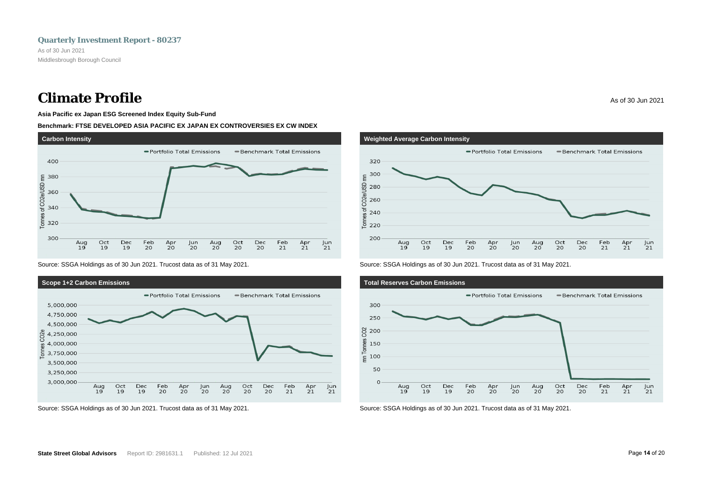## **Climate Profile** As of 30 Jun 2021

### **Asia Pacific ex Japan ESG Screened Index Equity Sub-Fund**

### **Benchmark: FTSE DEVELOPED ASIA PACIFIC EX JAPAN EX CONTROVERSIES EX CW INDEX**



Source: SSGA Holdings as of 30 Jun 2021. Trucost data as of 31 May 2021.



Source: SSGA Holdings as of 30 Jun 2021. Trucost data as of 31 May 2021.



Source: SSGA Holdings as of 30 Jun 2021. Trucost data as of 31 May 2021.



Source: SSGA Holdings as of 30 Jun 2021. Trucost data as of 31 May 2021.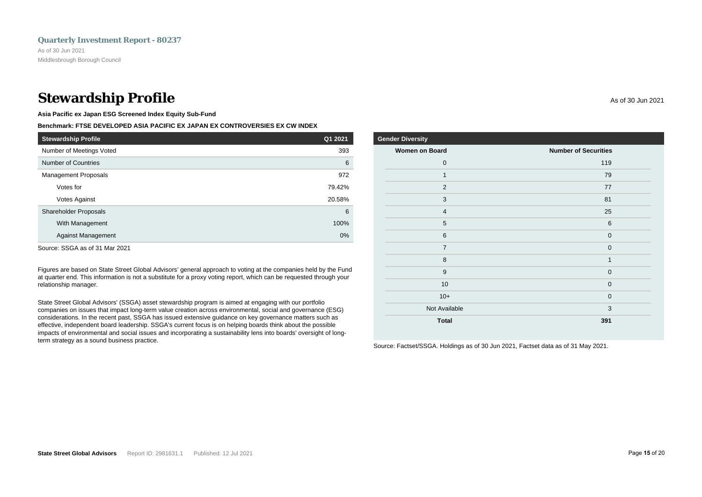## **Stewardship Profile** As of 30 Jun 2021

**Asia Pacific ex Japan ESG Screened Index Equity Sub-Fund**

### **Benchmark: FTSE DEVELOPED ASIA PACIFIC EX JAPAN EX CONTROVERSIES EX CW INDEX**

| <b>Stewardship Profile</b>   | Q1 2021 |
|------------------------------|---------|
| Number of Meetings Voted     | 393     |
| Number of Countries          | 6       |
| <b>Management Proposals</b>  | 972     |
| Votes for                    | 79.42%  |
| Votes Against                | 20.58%  |
| <b>Shareholder Proposals</b> | 6       |
| With Management              | 100%    |
| <b>Against Management</b>    | 0%      |
| ---- - ---- ---              |         |

Source: SSGA as of 31 Mar 2021

Figures are based on State Street Global Advisors' general approach to voting at the companies held by the Fund at quarter end. This information is not a substitute for a proxy voting report, which can be requested through your relationship manager.

State Street Global Advisors' (SSGA) asset stewardship program is aimed at engaging with our portfolio companies on issues that impact long-term value creation across environmental, social and governance (ESG) considerations. In the recent past, SSGA has issued extensive guidance on key governance matters such as effective, independent board leadership. SSGA's current focus is on helping boards think about the possible impacts of environmental and social issues and incorporating a sustainability lens into boards' oversight of longterm strategy as a sound business practice.

| <b>Gender Diversity</b> |                             |
|-------------------------|-----------------------------|
| <b>Women on Board</b>   | <b>Number of Securities</b> |
| $\mathbf 0$             | 119                         |
| 1                       | 79                          |
| $\overline{2}$          | 77                          |
| 3                       | 81                          |
| $\overline{4}$          | 25                          |
| 5                       | 6                           |
| 6                       | $\mathbf 0$                 |
| $\overline{7}$          | $\mathbf{0}$                |
| 8                       | $\mathbf{1}$                |
| 9                       | $\mathbf{0}$                |
| 10                      | $\mathbf{0}$                |
| $10+$                   | $\mathbf{0}$                |
| Not Available           | 3                           |

**Total 391**

Source: Factset/SSGA. Holdings as of 30 Jun 2021, Factset data as of 31 May 2021.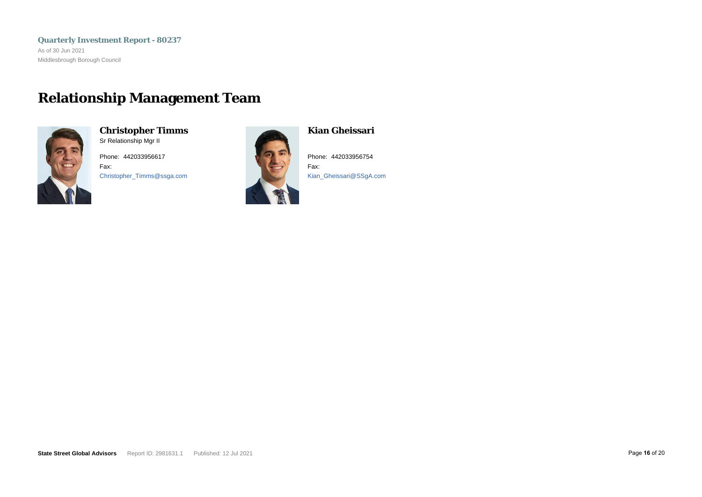<span id="page-17-0"></span>**Quarterly Investment Report - 80237** As of 30 Jun 2021 Middlesbrough Borough Council

## **Relationship Management Team**



**Christopher Timms** Sr Relationship Mgr II

Phone: 442033956617 Fax: Christopher\_Timms@ssga.com



**Kian Gheissari**

Phone: 442033956754 Fax: Kian\_Gheissari@SSgA.com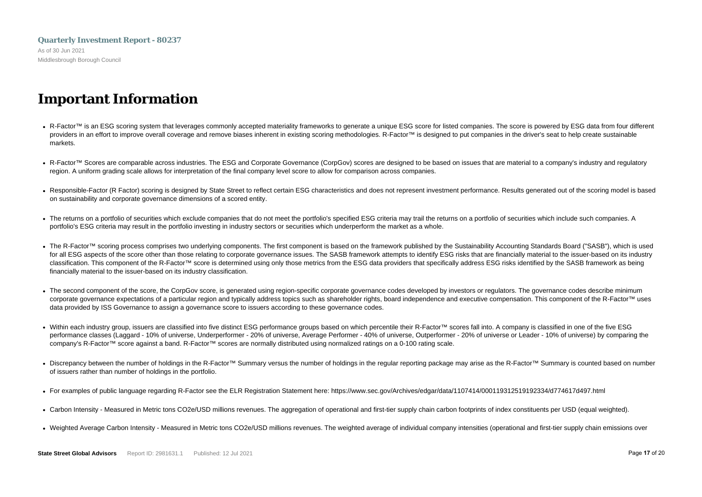## <span id="page-18-0"></span>**Quarterly Investment Report - 80237** As of 30 Jun 2021 Middlesbrough Borough Council

## **Important Information**

- R-Factor™ is an ESG scoring system that leverages commonly accepted materiality frameworks to generate a unique ESG score for listed companies. The score is powered by ESG data from four different providers in an effort to improve overall coverage and remove biases inherent in existing scoring methodologies. R-Factor™ is designed to put companies in the driver's seat to help create sustainable markets.
- R-Factor™ Scores are comparable across industries. The ESG and Corporate Governance (CorpGov) scores are designed to be based on issues that are material to a company's industry and regulatory region. A uniform grading scale allows for interpretation of the final company level score to allow for comparison across companies.
- Responsible-Factor (R Factor) scoring is designed by State Street to reflect certain ESG characteristics and does not represent investment performance. Results generated out of the scoring model is based on sustainability and corporate governance dimensions of a scored entity.
- The returns on a portfolio of securities which exclude companies that do not meet the portfolio's specified ESG criteria may trail the returns on a portfolio of securities which include such companies. A portfolio's ESG criteria may result in the portfolio investing in industry sectors or securities which underperform the market as a whole.
- The R-Factor™ scoring process comprises two underlying components. The first component is based on the framework published by the Sustainability Accounting Standards Board ("SASB"), which is used for all ESG aspects of the score other than those relating to corporate governance issues. The SASB framework attempts to identify ESG risks that are financially material to the issuer-based on its industry classification. This component of the R-Factor™ score is determined using only those metrics from the ESG data providers that specifically address ESG risks identified by the SASB framework as being financially material to the issuer-based on its industry classification.
- The second component of the score, the CorpGov score, is generated using region-specific corporate governance codes developed by investors or regulators. The governance codes describe minimum corporate governance expectations of a particular region and typically address topics such as shareholder rights, board independence and executive compensation. This component of the R-Factor™ uses data provided by ISS Governance to assign a governance score to issuers according to these governance codes.
- Within each industry group, issuers are classified into five distinct ESG performance groups based on which percentile their R-Factor™ scores fall into. A company is classified in one of the five ESG performance classes (Laggard - 10% of universe, Underperformer - 20% of universe, Average Performer - 40% of universe, Outperformer - 20% of universe or Leader - 10% of universe) by comparing the company's R-Factor™ score against a band. R-Factor™ scores are normally distributed using normalized ratings on a 0-100 rating scale.
- Discrepancy between the number of holdings in the R-Factor™ Summary versus the number of holdings in the regular reporting package may arise as the R-Factor™ Summary is counted based on number of issuers rather than number of holdings in the portfolio.
- For examples of public language regarding R-Factor see the ELR Registration Statement here: https://www.sec.gov/Archives/edgar/data/1107414/000119312519192334/d774617d497.html
- Carbon Intensity Measured in Metric tons CO2e/USD millions revenues. The aggregation of operational and first-tier supply chain carbon footprints of index constituents per USD (equal weighted).
- Weighted Average Carbon Intensity Measured in Metric tons CO2e/USD millions revenues. The weighted average of individual company intensities (operational and first-tier supply chain emissions over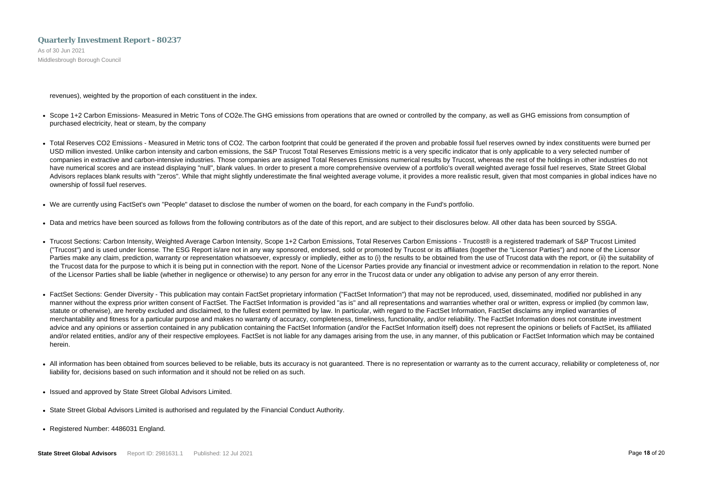As of 30 Jun 2021 Middlesbrough Borough Council

revenues), weighted by the proportion of each constituent in the index.

- Scope 1+2 Carbon Emissions- Measured in Metric Tons of CO2e. The GHG emissions from operations that are owned or controlled by the company, as well as GHG emissions from consumption of purchased electricity, heat or steam, by the company
- Total Reserves CO2 Emissions Measured in Metric tons of CO2. The carbon footprint that could be generated if the proven and probable fossil fuel reserves owned by index constituents were burned per USD million invested. Unlike carbon intensity and carbon emissions, the S&P Trucost Total Reserves Emissions metric is a very specific indicator that is only applicable to a very selected number of companies in extractive and carbon-intensive industries. Those companies are assigned Total Reserves Emissions numerical results by Trucost, whereas the rest of the holdings in other industries do not have numerical scores and are instead displaying "null", blank values. In order to present a more comprehensive overview of a portfolio's overall weighted average fossil fuel reserves, State Street Global Advisors replaces blank results with "zeros". While that might slightly underestimate the final weighted average volume, it provides a more realistic result, given that most companies in global indices have no ownership of fossil fuel reserves.
- We are currently using FactSet's own "People" dataset to disclose the number of women on the board, for each company in the Fund's portfolio.
- Data and metrics have been sourced as follows from the following contributors as of the date of this report, and are subject to their disclosures below. All other data has been sourced by SSGA.
- Trucost Sections: Carbon Intensity, Weighted Average Carbon Intensity, Scope 1+2 Carbon Emissions, Total Reserves Carbon Emissions Trucost® is a registered trademark of S&P Trucost Limited ("Trucost") and is used under license. The ESG Report is/are not in any way sponsored, endorsed, sold or promoted by Trucost or its affiliates (together the "Licensor Parties") and none of the Licensor Parties make any claim, prediction, warranty or representation whatsoever, expressly or impliedly, either as to (i) the results to be obtained from the use of Trucost data with the report, or (ii) the suitability of the Trucost data for the purpose to which it is being put in connection with the report. None of the Licensor Parties provide any financial or investment advice or recommendation in relation to the report. None of the Licensor Parties shall be liable (whether in negligence or otherwise) to any person for any error in the Trucost data or under any obligation to advise any person of any error therein.
- FactSet Sections: Gender Diversity This publication may contain FactSet proprietary information ("FactSet Information") that may not be reproduced, used, disseminated, modified nor published in any manner without the express prior written consent of FactSet. The FactSet Information is provided "as is" and all representations and warranties whether oral or written, express or implied (by common law, statute or otherwise), are hereby excluded and disclaimed, to the fullest extent permitted by law. In particular, with regard to the FactSet Information, FactSet disclaims any implied warranties of merchantability and fitness for a particular purpose and makes no warranty of accuracy, completeness, timeliness, functionality, and/or reliability. The FactSet Information does not constitute investment advice and any opinions or assertion contained in any publication containing the FactSet Information (and/or the FactSet Information itself) does not represent the opinions or beliefs of FactSet, its affiliated and/or related entities, and/or any of their respective employees. FactSet is not liable for any damages arising from the use, in any manner, of this publication or FactSet Information which may be contained herein.
- All information has been obtained from sources believed to be reliable, buts its accuracy is not guaranteed. There is no representation or warranty as to the current accuracy, reliability or completeness of, nor liability for, decisions based on such information and it should not be relied on as such.
- Issued and approved by State Street Global Advisors Limited.
- State Street Global Advisors Limited is authorised and regulated by the Financial Conduct Authority.
- Registered Number: 4486031 England.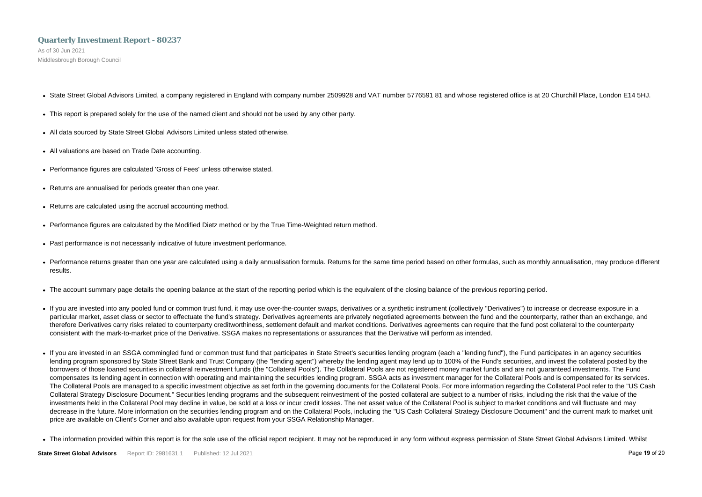As of 30 Jun 2021 Middlesbrough Borough Council

- State Street Global Advisors Limited, a company registered in England with company number 2509928 and VAT number 5776591 81 and whose registered office is at 20 Churchill Place, London E14 5HJ.
- This report is prepared solely for the use of the named client and should not be used by any other party.
- All data sourced by State Street Global Advisors Limited unless stated otherwise.
- All valuations are based on Trade Date accounting.
- Performance figures are calculated 'Gross of Fees' unless otherwise stated.
- Returns are annualised for periods greater than one year.
- Returns are calculated using the accrual accounting method.
- Performance figures are calculated by the Modified Dietz method or by the True Time-Weighted return method.
- Past performance is not necessarily indicative of future investment performance.
- Performance returns greater than one year are calculated using a daily annualisation formula. Returns for the same time period based on other formulas, such as monthly annualisation, may produce different results.
- The account summary page details the opening balance at the start of the reporting period which is the equivalent of the closing balance of the previous reporting period.
- If you are invested into any pooled fund or common trust fund, it may use over-the-counter swaps, derivatives or a synthetic instrument (collectively "Derivatives") to increase or decrease exposure in a particular market, asset class or sector to effectuate the fund's strategy. Derivatives agreements are privately negotiated agreements between the fund and the counterparty, rather than an exchange, and therefore Derivatives carry risks related to counterparty creditworthiness, settlement default and market conditions. Derivatives agreements can require that the fund post collateral to the counterparty consistent with the mark-to-market price of the Derivative. SSGA makes no representations or assurances that the Derivative will perform as intended.
- If you are invested in an SSGA commingled fund or common trust fund that participates in State Street's securities lending program (each a "lending fund"), the Fund participates in an agency securities lending program sponsored by State Street Bank and Trust Company (the "lending agent") whereby the lending agent may lend up to 100% of the Fund's securities, and invest the collateral posted by the borrowers of those loaned securities in collateral reinvestment funds (the "Collateral Pools"). The Collateral Pools are not registered money market funds and are not guaranteed investments. The Fund compensates its lending agent in connection with operating and maintaining the securities lending program. SSGA acts as investment manager for the Collateral Pools and is compensated for its services. The Collateral Pools are managed to a specific investment objective as set forth in the governing documents for the Collateral Pools. For more information regarding the Collateral Pool refer to the "US Cash Collateral Strategy Disclosure Document." Securities lending programs and the subsequent reinvestment of the posted collateral are subject to a number of risks, including the risk that the value of the investments held in the Collateral Pool may decline in value, be sold at a loss or incur credit losses. The net asset value of the Collateral Pool is subject to market conditions and will fluctuate and may decrease in the future. More information on the securities lending program and on the Collateral Pools, including the "US Cash Collateral Strategy Disclosure Document" and the current mark to market unit price are available on Client's Corner and also available upon request from your SSGA Relationship Manager.
- The information provided within this report is for the sole use of the official report recipient. It may not be reproduced in any form without express permission of State Street Global Advisors Limited. Whilst